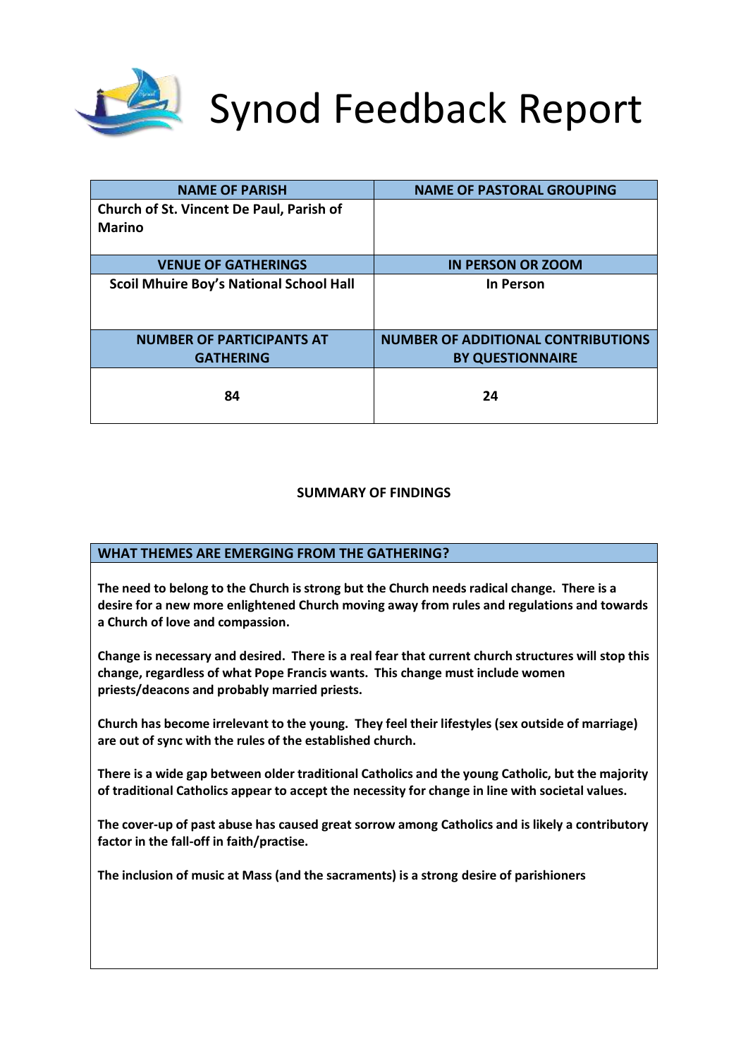

# Synod Feedback Report

| <b>NAME OF PARISH</b>                           | <b>NAME OF PASTORAL GROUPING</b>          |
|-------------------------------------------------|-------------------------------------------|
| <b>Church of St. Vincent De Paul, Parish of</b> |                                           |
| <b>Marino</b>                                   |                                           |
|                                                 |                                           |
| <b>VENUE OF GATHERINGS</b>                      | <b>IN PERSON OR ZOOM</b>                  |
| <b>Scoil Mhuire Boy's National School Hall</b>  | <b>In Person</b>                          |
|                                                 |                                           |
| <b>NUMBER OF PARTICIPANTS AT</b>                | <b>NUMBER OF ADDITIONAL CONTRIBUTIONS</b> |
| <b>GATHERING</b>                                | <b>BY QUESTIONNAIRE</b>                   |
| 84                                              | 24                                        |

### **SUMMARY OF FINDINGS**

## **WHAT THEMES ARE EMERGING FROM THE GATHERING?**

**The need to belong to the Church is strong but the Church needs radical change. There is a desire for a new more enlightened Church moving away from rules and regulations and towards a Church of love and compassion.** 

**Change is necessary and desired. There is a real fear that current church structures will stop this change, regardless of what Pope Francis wants. This change must include women priests/deacons and probably married priests.**

**Church has become irrelevant to the young. They feel their lifestyles (sex outside of marriage) are out of sync with the rules of the established church.**

**There is a wide gap between older traditional Catholics and the young Catholic, but the majority of traditional Catholics appear to accept the necessity for change in line with societal values.**

**The cover-up of past abuse has caused great sorrow among Catholics and is likely a contributory factor in the fall-off in faith/practise.** 

**The inclusion of music at Mass (and the sacraments) is a strong desire of parishioners**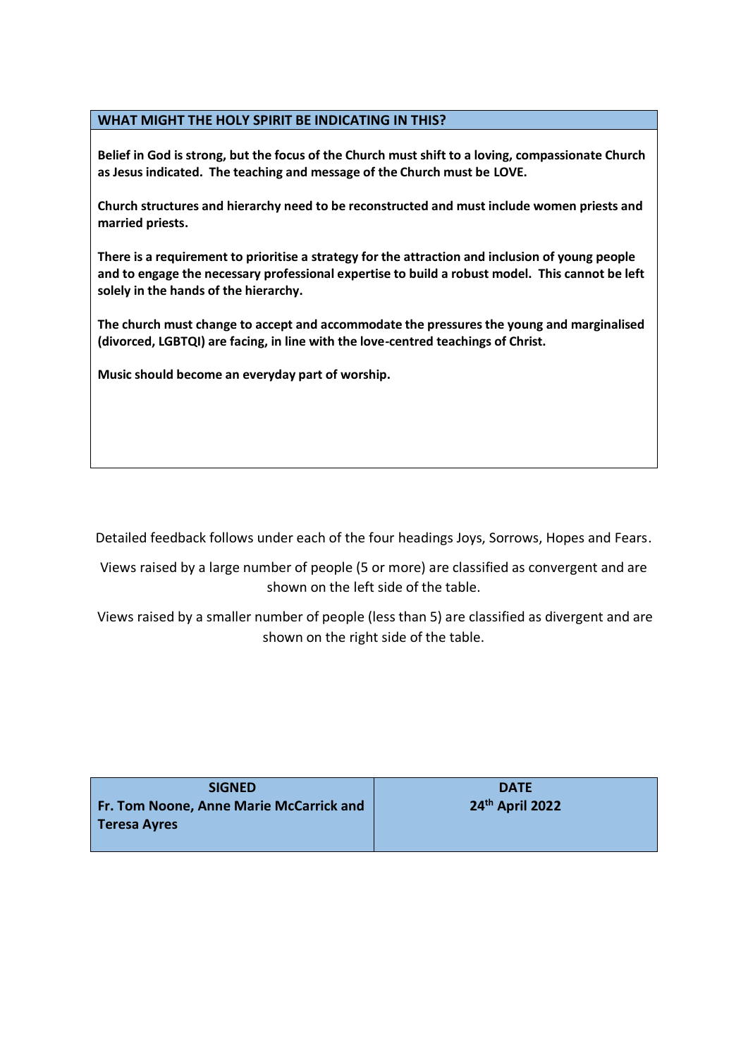#### **WHAT MIGHT THE HOLY SPIRIT BE INDICATING IN THIS?**

**Belief in God is strong, but the focus of the Church must shift to a loving, compassionate Church as Jesus indicated. The teaching and message of the Church must be LOVE.**

**Church structures and hierarchy need to be reconstructed and must include women priests and married priests.**

**There is a requirement to prioritise a strategy for the attraction and inclusion of young people and to engage the necessary professional expertise to build a robust model. This cannot be left solely in the hands of the hierarchy.**

**The church must change to accept and accommodate the pressures the young and marginalised (divorced, LGBTQI) are facing, in line with the love-centred teachings of Christ.**

**Music should become an everyday part of worship.**

Detailed feedback follows under each of the four headings Joys, Sorrows, Hopes and Fears.

Views raised by a large number of people (5 or more) are classified as convergent and are shown on the left side of the table.

Views raised by a smaller number of people (less than 5) are classified as divergent and are shown on the right side of the table.

| <b>SIGNED</b>                                  | <b>DATE</b>     |
|------------------------------------------------|-----------------|
| <b>Fr. Tom Noone, Anne Marie McCarrick and</b> | 24th April 2022 |
| Teresa Ayres                                   |                 |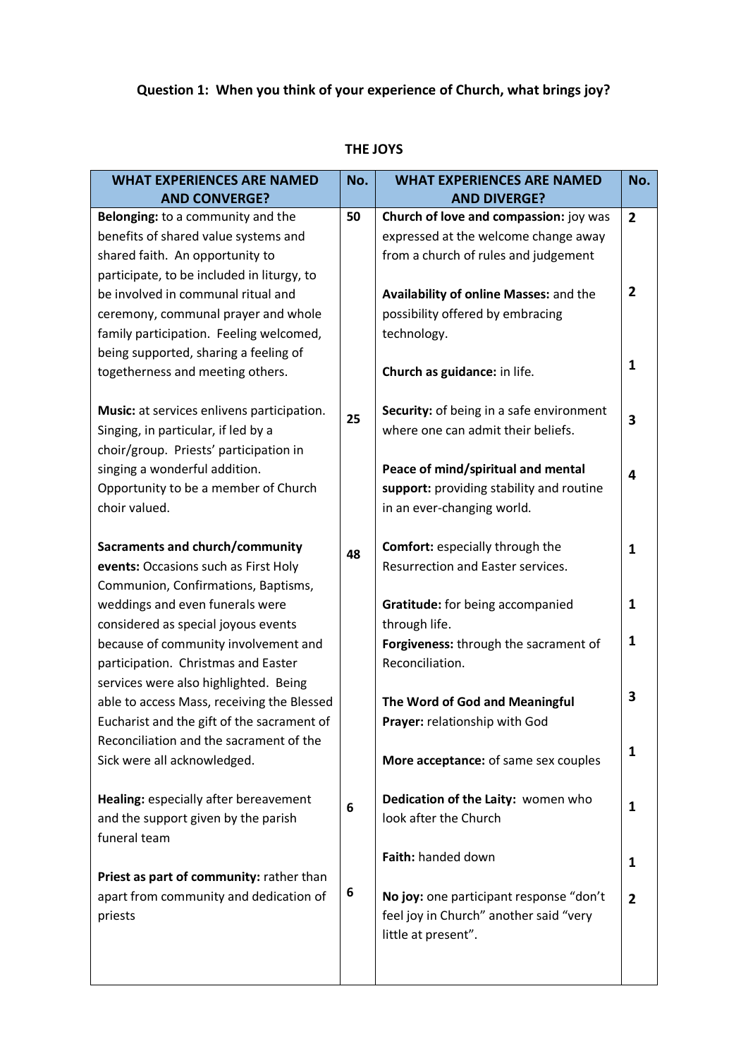# **Question 1: When you think of your experience of Church, what brings joy?**

| <b>WHAT EXPERIENCES ARE NAMED</b>                                                                                                                                                                | No. | <b>WHAT EXPERIENCES ARE NAMED</b>                                                                                                                                | No.                 |
|--------------------------------------------------------------------------------------------------------------------------------------------------------------------------------------------------|-----|------------------------------------------------------------------------------------------------------------------------------------------------------------------|---------------------|
| <b>AND CONVERGE?</b>                                                                                                                                                                             |     | <b>AND DIVERGE?</b>                                                                                                                                              |                     |
| Belonging: to a community and the<br>benefits of shared value systems and<br>shared faith. An opportunity to<br>participate, to be included in liturgy, to<br>be involved in communal ritual and | 50  | Church of love and compassion: joy was<br>expressed at the welcome change away<br>from a church of rules and judgement<br>Availability of online Masses: and the | $\overline{2}$<br>2 |
| ceremony, communal prayer and whole<br>family participation. Feeling welcomed,<br>being supported, sharing a feeling of<br>togetherness and meeting others.                                      |     | possibility offered by embracing<br>technology.<br>Church as guidance: in life.                                                                                  | $\mathbf{1}$        |
| Music: at services enlivens participation.<br>Singing, in particular, if led by a<br>choir/group. Priests' participation in                                                                      | 25  | Security: of being in a safe environment<br>where one can admit their beliefs.                                                                                   | 3                   |
| singing a wonderful addition.<br>Opportunity to be a member of Church<br>choir valued.                                                                                                           |     | Peace of mind/spiritual and mental<br>support: providing stability and routine<br>in an ever-changing world.                                                     | 4                   |
| Sacraments and church/community<br>events: Occasions such as First Holy<br>Communion, Confirmations, Baptisms,                                                                                   | 48  | <b>Comfort: especially through the</b><br>Resurrection and Easter services.                                                                                      | $\mathbf{1}$        |
| weddings and even funerals were<br>considered as special joyous events<br>because of community involvement and                                                                                   |     | Gratitude: for being accompanied<br>through life.<br>Forgiveness: through the sacrament of                                                                       | 1<br>1              |
| participation. Christmas and Easter<br>services were also highlighted. Being                                                                                                                     |     | Reconciliation.                                                                                                                                                  | 3                   |
| able to access Mass, receiving the Blessed<br>Eucharist and the gift of the sacrament of<br>Reconciliation and the sacrament of the                                                              |     | The Word of God and Meaningful<br>Prayer: relationship with God                                                                                                  | 1                   |
| Sick were all acknowledged.                                                                                                                                                                      |     | More acceptance: of same sex couples                                                                                                                             |                     |
| Healing: especially after bereavement<br>and the support given by the parish<br>funeral team                                                                                                     | 6   | Dedication of the Laity: women who<br>look after the Church                                                                                                      | 1                   |
| Priest as part of community: rather than<br>apart from community and dedication of                                                                                                               | 6   | Faith: handed down<br>No joy: one participant response "don't                                                                                                    | 1<br>$\overline{2}$ |
| priests                                                                                                                                                                                          |     | feel joy in Church" another said "very<br>little at present".                                                                                                    |                     |

#### **THE JOYS**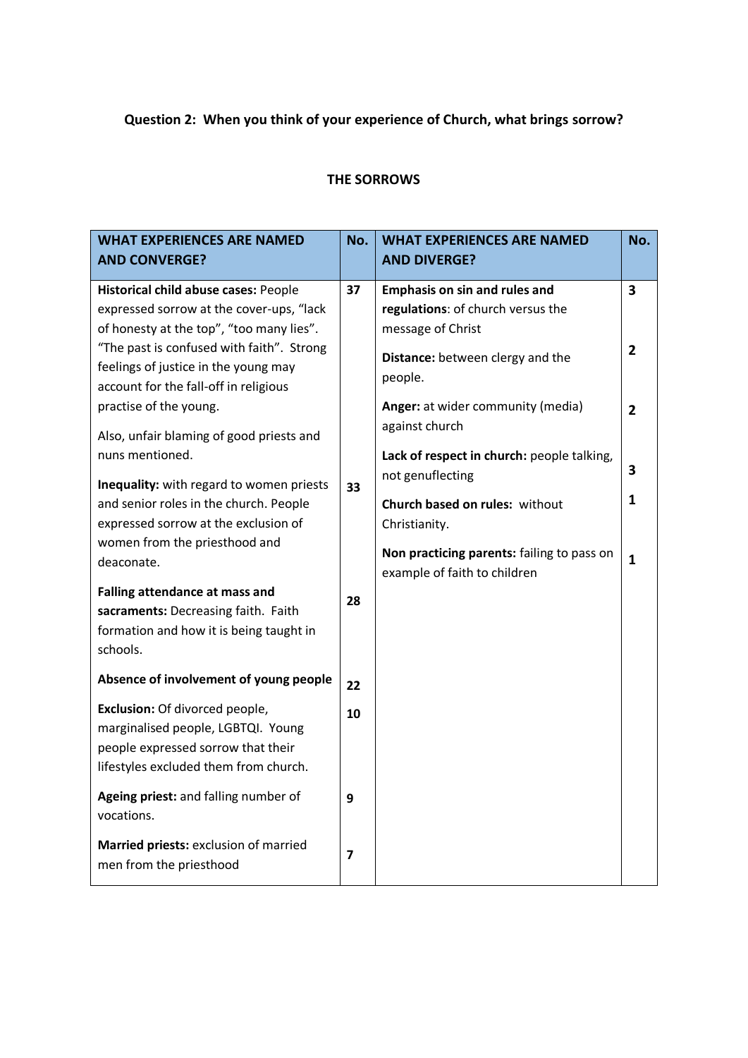# **Question 2: When you think of your experience of Church, what brings sorrow?**

## **THE SORROWS**

| <b>WHAT EXPERIENCES ARE NAMED</b><br><b>AND CONVERGE?</b>                                                                                                                                                                                                                                                         | No.            | <b>WHAT EXPERIENCES ARE NAMED</b><br><b>AND DIVERGE?</b>                                                                                                                                                          | No.                                   |
|-------------------------------------------------------------------------------------------------------------------------------------------------------------------------------------------------------------------------------------------------------------------------------------------------------------------|----------------|-------------------------------------------------------------------------------------------------------------------------------------------------------------------------------------------------------------------|---------------------------------------|
| Historical child abuse cases: People<br>expressed sorrow at the cover-ups, "lack<br>of honesty at the top", "too many lies".<br>"The past is confused with faith". Strong<br>feelings of justice in the young may<br>account for the fall-off in religious<br>practise of the young.                              | 37             | <b>Emphasis on sin and rules and</b><br>regulations: of church versus the<br>message of Christ<br>Distance: between clergy and the<br>people.<br>Anger: at wider community (media)                                | 3<br>$\overline{2}$<br>$\overline{2}$ |
| Also, unfair blaming of good priests and<br>nuns mentioned.<br>Inequality: with regard to women priests<br>and senior roles in the church. People<br>expressed sorrow at the exclusion of<br>women from the priesthood and<br>deaconate.<br>Falling attendance at mass and<br>sacraments: Decreasing faith. Faith | 33<br>28       | against church<br>Lack of respect in church: people talking,<br>not genuflecting<br>Church based on rules: without<br>Christianity.<br>Non practicing parents: failing to pass on<br>example of faith to children | 3<br>$\mathbf{1}$<br>1                |
| formation and how it is being taught in<br>schools.<br>Absence of involvement of young people                                                                                                                                                                                                                     |                |                                                                                                                                                                                                                   |                                       |
| Exclusion: Of divorced people,<br>marginalised people, LGBTQI. Young<br>people expressed sorrow that their<br>lifestyles excluded them from church.                                                                                                                                                               | 22<br>10       |                                                                                                                                                                                                                   |                                       |
| Ageing priest: and falling number of<br>vocations.                                                                                                                                                                                                                                                                | 9              |                                                                                                                                                                                                                   |                                       |
| Married priests: exclusion of married<br>men from the priesthood                                                                                                                                                                                                                                                  | $\overline{7}$ |                                                                                                                                                                                                                   |                                       |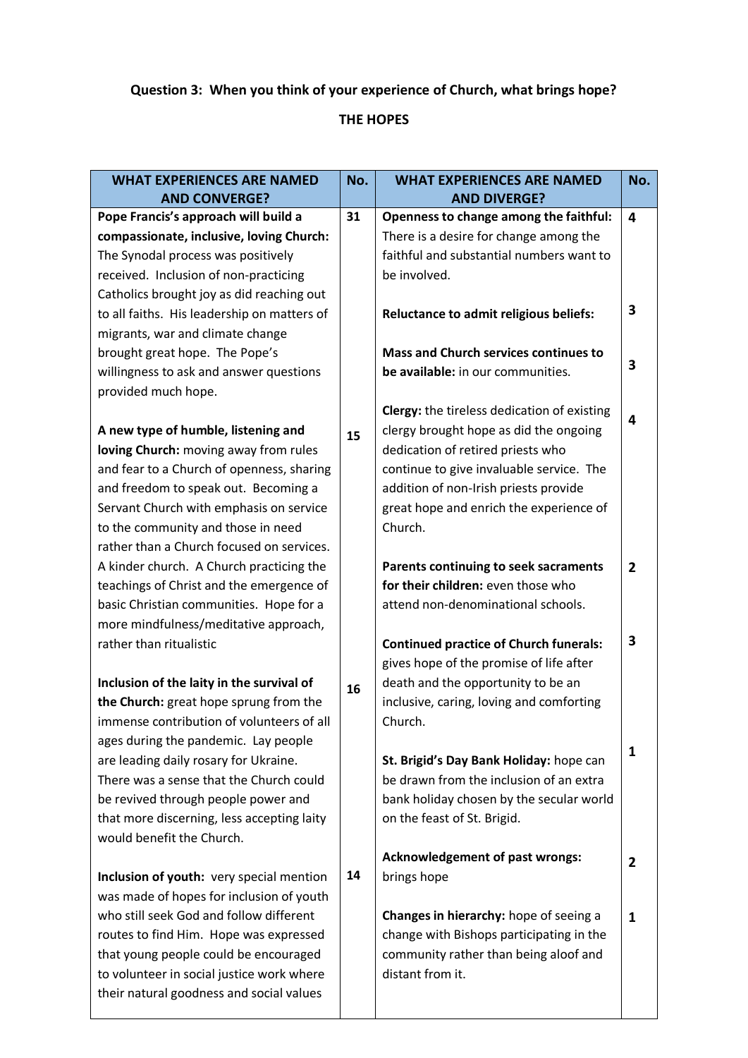# **Question 3: When you think of your experience of Church, what brings hope?**

## **THE HOPES**

| <b>WHAT EXPERIENCES ARE NAMED</b><br><b>AND CONVERGE?</b>               | No. | <b>WHAT EXPERIENCES ARE NAMED</b><br><b>AND DIVERGE?</b> | No.            |
|-------------------------------------------------------------------------|-----|----------------------------------------------------------|----------------|
| Pope Francis's approach will build a                                    | 31  | Openness to change among the faithful:                   | 4              |
| compassionate, inclusive, loving Church:                                |     | There is a desire for change among the                   |                |
| The Synodal process was positively                                      |     | faithful and substantial numbers want to                 |                |
| received. Inclusion of non-practicing                                   |     | be involved.                                             |                |
| Catholics brought joy as did reaching out                               |     |                                                          |                |
| to all faiths. His leadership on matters of                             |     | Reluctance to admit religious beliefs:                   | 3              |
| migrants, war and climate change                                        |     |                                                          |                |
| brought great hope. The Pope's                                          |     | <b>Mass and Church services continues to</b>             |                |
| willingness to ask and answer questions                                 |     | be available: in our communities.                        | 3              |
| provided much hope.                                                     |     |                                                          |                |
|                                                                         |     | <b>Clergy:</b> the tireless dedication of existing       | 4              |
| A new type of humble, listening and                                     | 15  | clergy brought hope as did the ongoing                   |                |
| loving Church: moving away from rules                                   |     | dedication of retired priests who                        |                |
| and fear to a Church of openness, sharing                               |     | continue to give invaluable service. The                 |                |
| and freedom to speak out. Becoming a                                    |     | addition of non-Irish priests provide                    |                |
| Servant Church with emphasis on service                                 |     | great hope and enrich the experience of                  |                |
| to the community and those in need                                      |     | Church.                                                  |                |
| rather than a Church focused on services.                               |     |                                                          |                |
| A kinder church. A Church practicing the                                |     | Parents continuing to seek sacraments                    | $\overline{2}$ |
| teachings of Christ and the emergence of                                |     | for their children: even those who                       |                |
| basic Christian communities. Hope for a                                 |     | attend non-denominational schools.                       |                |
| more mindfulness/meditative approach,                                   |     |                                                          |                |
| rather than ritualistic                                                 |     | <b>Continued practice of Church funerals:</b>            | 3              |
|                                                                         |     | gives hope of the promise of life after                  |                |
| Inclusion of the laity in the survival of                               | 16  | death and the opportunity to be an                       |                |
| the Church: great hope sprung from the                                  |     | inclusive, caring, loving and comforting                 |                |
| immense contribution of volunteers of all                               |     | Church.                                                  |                |
| ages during the pandemic. Lay people                                    |     |                                                          | 1              |
| are leading daily rosary for Ukraine.                                   |     | St. Brigid's Day Bank Holiday: hope can                  |                |
| There was a sense that the Church could                                 |     | be drawn from the inclusion of an extra                  |                |
| be revived through people power and                                     |     | bank holiday chosen by the secular world                 |                |
| that more discerning, less accepting laity<br>would benefit the Church. |     | on the feast of St. Brigid.                              |                |
|                                                                         |     |                                                          |                |
| Inclusion of youth: very special mention                                | 14  | <b>Acknowledgement of past wrongs:</b><br>brings hope    | 2              |
| was made of hopes for inclusion of youth                                |     |                                                          |                |
| who still seek God and follow different                                 |     | Changes in hierarchy: hope of seeing a                   | 1              |
| routes to find Him. Hope was expressed                                  |     | change with Bishops participating in the                 |                |
| that young people could be encouraged                                   |     | community rather than being aloof and                    |                |
| to volunteer in social justice work where                               |     | distant from it.                                         |                |
| their natural goodness and social values                                |     |                                                          |                |
|                                                                         |     |                                                          |                |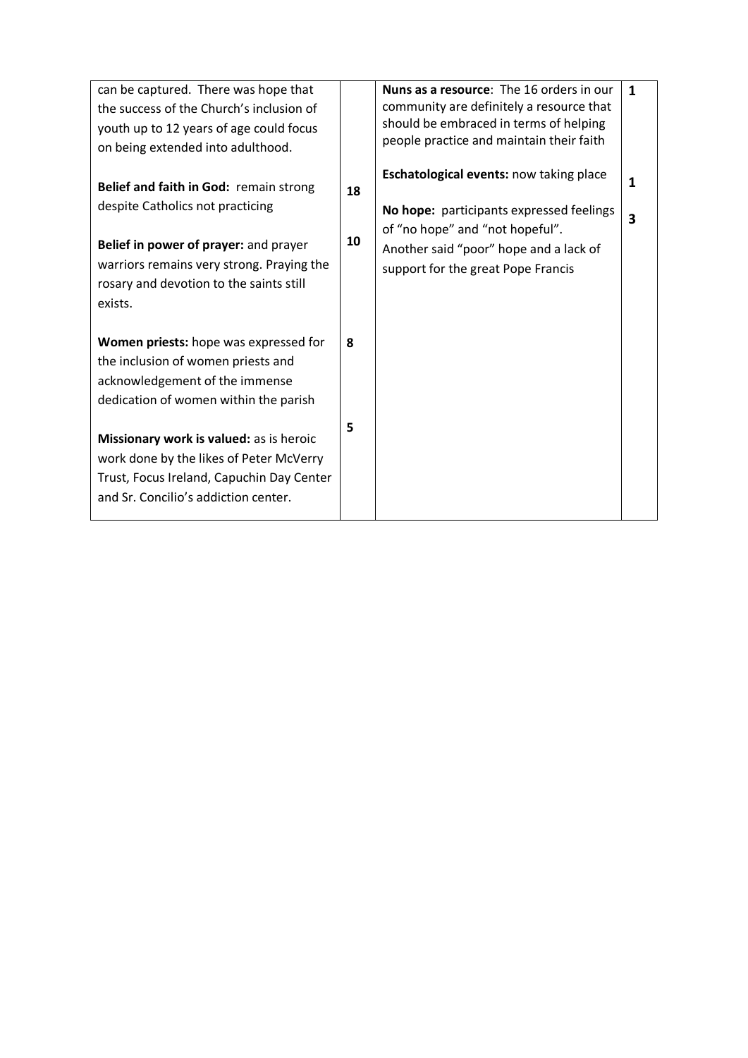| can be captured. There was hope that<br>the success of the Church's inclusion of<br>youth up to 12 years of age could focus<br>on being extended into adulthood.                                                       |          | <b>Nuns as a resource:</b> The 16 orders in our<br>community are definitely a resource that<br>should be embraced in terms of helping<br>people practice and maintain their faith                      | $\mathbf{1}$ |
|------------------------------------------------------------------------------------------------------------------------------------------------------------------------------------------------------------------------|----------|--------------------------------------------------------------------------------------------------------------------------------------------------------------------------------------------------------|--------------|
| Belief and faith in God: remain strong<br>despite Catholics not practicing<br>Belief in power of prayer: and prayer<br>warriors remains very strong. Praying the<br>rosary and devotion to the saints still<br>exists. | 18<br>10 | Eschatological events: now taking place<br>No hope: participants expressed feelings<br>of "no hope" and "not hopeful".<br>Another said "poor" hope and a lack of<br>support for the great Pope Francis | 1<br>3       |
| Women priests: hope was expressed for<br>the inclusion of women priests and<br>acknowledgement of the immense<br>dedication of women within the parish                                                                 | 8        |                                                                                                                                                                                                        |              |
| Missionary work is valued: as is heroic<br>work done by the likes of Peter McVerry<br>Trust, Focus Ireland, Capuchin Day Center<br>and Sr. Concilio's addiction center.                                                | 5        |                                                                                                                                                                                                        |              |